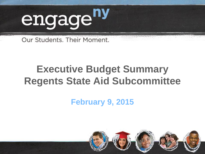

Our Students, Their Moment.

# **Executive Budget Summary Regents State Aid Subcommittee**

**February 9, 2015**

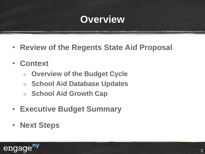### **Overview**

- **Review of the Regents State Aid Proposal**
- **Context**
	- **Overview of the Budget Cycle**
	- **School Aid Database Updates**
	- **School Aid Growth Cap**
- **Executive Budget Summary**
- **Next Steps**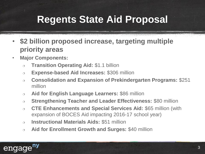# **Regents State Aid Proposal**

- **\$2 billion proposed increase, targeting multiple priority areas**
- **Major Components:**
	- **Transition Operating Aid:** \$1.1 billion
	- **Expense-based Aid Increases:** \$306 million
	- **Consolidation and Expansion of Prekindergarten Programs:** \$251 million
	- **Aid for English Language Learners:** \$86 million
	- **Strengthening Teacher and Leader Effectiveness:** \$80 million
	- **CTE Enhancements and Special Services Aid:** \$65 million (with expansion of BOCES Aid impacting 2016-17 school year)
	- **Instructional Materials Aids:** \$51 million
	- **Aid for Enrollment Growth and Surges:** \$40 million

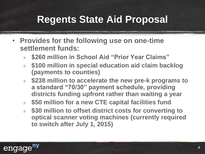# **Regents State Aid Proposal**

- **Provides for the following use on one-time settlement funds:**
	- **\$260 million in School Aid "Prior Year Claims"**
	- **\$100 million in special education aid claim backlog (payments to counties)**
	- **\$238 million to accelerate the new pre-k programs to a standard "70/30" payment schedule, providing districts funding upfront rather than waiting a year**
	- **\$50 million for a new CTE capital facilities fund**
	- **\$30 million to offset district costs for converting to optical scanner voting machines (currently required to switch after July 1, 2015)**

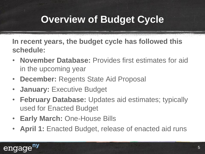# **Overview of Budget Cycle**

**In recent years, the budget cycle has followed this schedule:**

- **November Database:** Provides first estimates for aid in the upcoming year
- **December:** Regents State Aid Proposal
- **January:** Executive Budget
- **February Database:** Updates aid estimates; typically used for Enacted Budget
- **Early March:** One-House Bills
- **April 1:** Enacted Budget, release of enacted aid runs

#### engag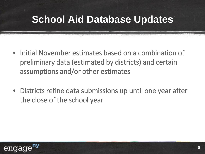## **School Aid Database Updates**

- Initial November estimates based on a combination of preliminary data (estimated by districts) and certain assumptions and/or other estimates
- Districts refine data submissions up until one year after the close of the school year

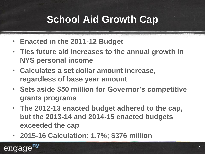# **School Aid Growth Cap**

- **Enacted in the 2011-12 Budget**
- **Ties future aid increases to the annual growth in NYS personal income**
- **Calculates a set dollar amount increase, regardless of base year amount**
- **Sets aside \$50 million for Governor's competitive grants programs**
- **The 2012-13 enacted budget adhered to the cap, but the 2013-14 and 2014-15 enacted budgets exceeded the cap**
- **2015-16 Calculation: 1.7%; \$376 million**

engage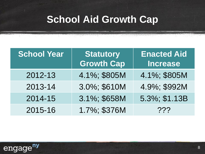## **School Aid Growth Cap**

| <b>School Year</b> | <b>Statutory</b><br><b>Growth Cap</b> | <b>Enacted Aid</b><br><b>Increase</b> |
|--------------------|---------------------------------------|---------------------------------------|
| 2012-13            | 4.1%; \$805M                          | 4.1%; \$805M                          |
| 2013-14            | 3.0%; \$610M                          | 4.9%; \$992M                          |
| 2014-15            | 3.1%; \$658M                          | 5.3%; \$1.13B                         |
| 2015-16            | 1.7%; \$376M                          | ???                                   |

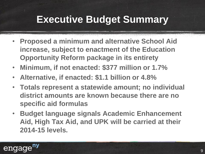- **Proposed a minimum and alternative School Aid increase, subject to enactment of the Education Opportunity Reform package in its entirety**
- **Minimum, if not enacted: \$377 million or 1.7%**
- **Alternative, if enacted: \$1.1 billion or 4.8%**
- **Totals represent a statewide amount; no individual district amounts are known because there are no specific aid formulas**
- **Budget language signals Academic Enhancement Aid, High Tax Aid, and UPK will be carried at their 2014-15 levels.**

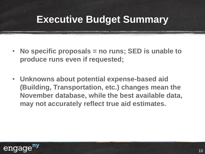- **No specific proposals = no runs; SED is unable to produce runs even if requested;**
- **Unknowns about potential expense-based aid (Building, Transportation, etc.) changes mean the November database, while the best available data, may not accurately reflect true aid estimates.**

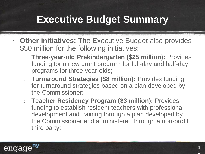- **Other initiatives:** The Executive Budget also provides \$50 million for the following initiatives:
	- **Three-year-old Prekindergarten (\$25 million):** Provides funding for a new grant program for full-day and half-day programs for three year-olds;
	- **Turnaround Strategies (\$8 million):** Provides funding for turnaround strategies based on a plan developed by the Commissioner;
	- **Teacher Residency Program (\$3 million):** Provides funding to establish resident teachers with professional development and training through a plan developed by the Commissioner and administered through a non-profit third party;

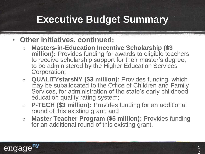#### • **Other initiatives, continued:**

- **Masters-in-Education Incentive Scholarship (\$3 million):** Provides funding for awards to eligible teachers to receive scholarship support for their master's degree, to be administered by the Higher Education Services Corporation;
- **QUALITYstarsNY (\$3 million):** Provides funding, which may be suballocated to the Office of Children and Family Services, for administration of the state's early childhood education quality rating system;
- **P-TECH (\$3 million):** Provides funding for an additional round of this existing grant; and
- **Master Teacher Program (\$5 million):** Provides funding for an additional round of this existing grant.

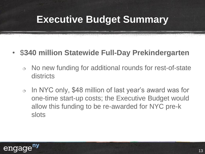#### • \$**340 million Statewide Full-Day Prekindergarten**

- $\circ$  No new funding for additional rounds for rest-of-state districts
- $\circ$  In NYC only, \$48 million of last year's award was for one-time start-up costs; the Executive Budget would allow this funding to be re-awarded for NYC pre-k slots

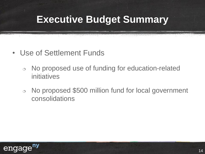- Use of Settlement Funds
	- $\circ$  No proposed use of funding for education-related initiatives
	- o No proposed \$500 million fund for local government consolidations